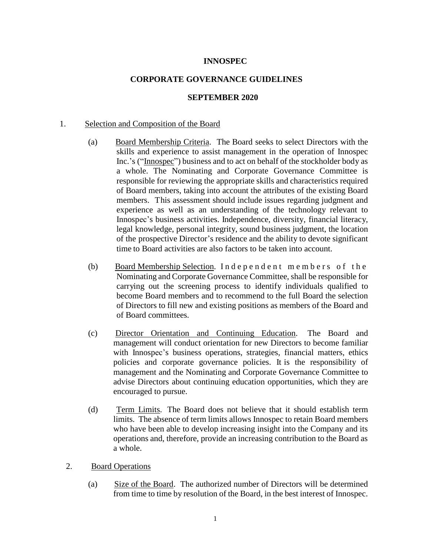# **INNOSPEC**

## **CORPORATE GOVERNANCE GUIDELINES**

#### **SEPTEMBER 2020**

#### 1. Selection and Composition of the Board

- (a) Board Membership Criteria. The Board seeks to select Directors with the skills and experience to assist management in the operation of Innospec Inc.'s ("Innospec") business and to act on behalf of the stockholder body as a whole. The Nominating and Corporate Governance Committee is responsible for reviewing the appropriate skills and characteristics required of Board members, taking into account the attributes of the existing Board members. This assessment should include issues regarding judgment and experience as well as an understanding of the technology relevant to Innospec's business activities. Independence, diversity, financial literacy, legal knowledge, personal integrity, sound business judgment, the location of the prospective Director's residence and the ability to devote significant time to Board activities are also factors to be taken into account.
- (b) Board Membership Selection. Independent members of the Nominating and Corporate Governance Committee, shall be responsible for carrying out the screening process to identify individuals qualified to become Board members and to recommend to the full Board the selection of Directors to fill new and existing positions as members of the Board and of Board committees.
- (c) Director Orientation and Continuing Education. The Board and management will conduct orientation for new Directors to become familiar with Innospec's business operations, strategies, financial matters, ethics policies and corporate governance policies. It is the responsibility of management and the Nominating and Corporate Governance Committee to advise Directors about continuing education opportunities, which they are encouraged to pursue.
- (d) Term Limits. The Board does not believe that it should establish term limits. The absence of term limits allows Innospec to retain Board members who have been able to develop increasing insight into the Company and its operations and, therefore, provide an increasing contribution to the Board as a whole.
- 2. Board Operations
	- (a) Size of the Board. The authorized number of Directors will be determined from time to time by resolution of the Board, in the best interest of Innospec.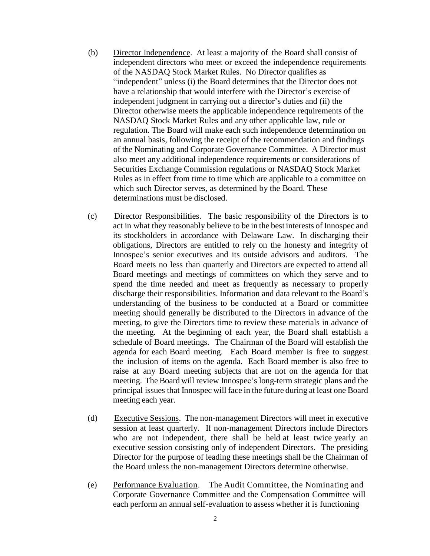- (b) Director Independence. At least a majority of the Board shall consist of independent directors who meet or exceed the independence requirements of the NASDAQ Stock Market Rules. No Director qualifies as "independent" unless (i) the Board determines that the Director does not have a relationship that would interfere with the Director's exercise of independent judgment in carrying out a director's duties and (ii) the Director otherwise meets the applicable independence requirements of the NASDAQ Stock Market Rules and any other applicable law, rule or regulation. The Board will make each such independence determination on an annual basis, following the receipt of the recommendation and findings of the Nominating and Corporate Governance Committee. A Director must also meet any additional independence requirements or considerations of Securities Exchange Commission regulations or NASDAQ Stock Market Rules as in effect from time to time which are applicable to a committee on which such Director serves, as determined by the Board. These determinations must be disclosed.
- (c) Director Responsibilities. The basic responsibility of the Directors is to act in what they reasonably believe to be in the best interests of Innospec and its stockholders in accordance with Delaware Law. In discharging their obligations, Directors are entitled to rely on the honesty and integrity of Innospec's senior executives and its outside advisors and auditors. The Board meets no less than quarterly and Directors are expected to attend all Board meetings and meetings of committees on which they serve and to spend the time needed and meet as frequently as necessary to properly discharge their responsibilities. Information and data relevant to the Board's understanding of the business to be conducted at a Board or committee meeting should generally be distributed to the Directors in advance of the meeting, to give the Directors time to review these materials in advance of the meeting. At the beginning of each year, the Board shall establish a schedule of Board meetings. The Chairman of the Board will establish the agenda for each Board meeting. Each Board member is free to suggest the inclusion of items on the agenda. Each Board member is also free to raise at any Board meeting subjects that are not on the agenda for that meeting. The Board will review Innospec's long-term strategic plans and the principal issues that Innospec will face in the future during at least one Board meeting each year.
- (d) Executive Sessions. The non-management Directors will meet in executive session at least quarterly. If non-management Directors include Directors who are not independent, there shall be held at least twice yearly an executive session consisting only of independent Directors. The presiding Director for the purpose of leading these meetings shall be the Chairman of the Board unless the non-management Directors determine otherwise.
- (e) Performance Evaluation. The Audit Committee, the Nominating and Corporate Governance Committee and the Compensation Committee will each perform an annual self-evaluation to assess whether it is functioning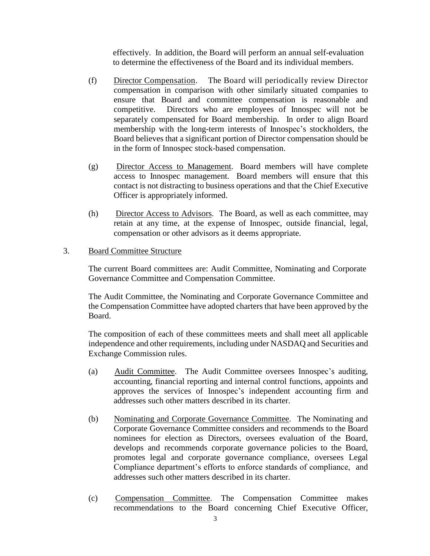effectively. In addition, the Board will perform an annual self-evaluation to determine the effectiveness of the Board and its individual members.

- (f) Director Compensation. The Board will periodically review Director compensation in comparison with other similarly situated companies to ensure that Board and committee compensation is reasonable and competitive. Directors who are employees of Innospec will not be separately compensated for Board membership. In order to align Board membership with the long-term interests of Innospec's stockholders, the Board believes that a significant portion of Director compensation should be in the form of Innospec stock-based compensation.
- (g) Director Access to Management. Board members will have complete access to Innospec management. Board members will ensure that this contact is not distracting to business operations and that the Chief Executive Officer is appropriately informed.
- (h) Director Access to Advisors. The Board, as well as each committee, may retain at any time, at the expense of Innospec, outside financial, legal, compensation or other advisors as it deems appropriate.

#### 3. Board Committee Structure

The current Board committees are: Audit Committee, Nominating and Corporate Governance Committee and Compensation Committee.

The Audit Committee, the Nominating and Corporate Governance Committee and the Compensation Committee have adopted charters that have been approved by the Board.

The composition of each of these committees meets and shall meet all applicable independence and other requirements, including under NASDAQ and Securities and Exchange Commission rules.

- (a) Audit Committee. The Audit Committee oversees Innospec's auditing, accounting, financial reporting and internal control functions, appoints and approves the services of Innospec's independent accounting firm and addresses such other matters described in its charter.
- (b) Nominating and Corporate Governance Committee. The Nominating and Corporate Governance Committee considers and recommends to the Board nominees for election as Directors, oversees evaluation of the Board, develops and recommends corporate governance policies to the Board, promotes legal and corporate governance compliance, oversees Legal Compliance department's efforts to enforce standards of compliance, and addresses such other matters described in its charter.
- (c) Compensation Committee. The Compensation Committee makes recommendations to the Board concerning Chief Executive Officer,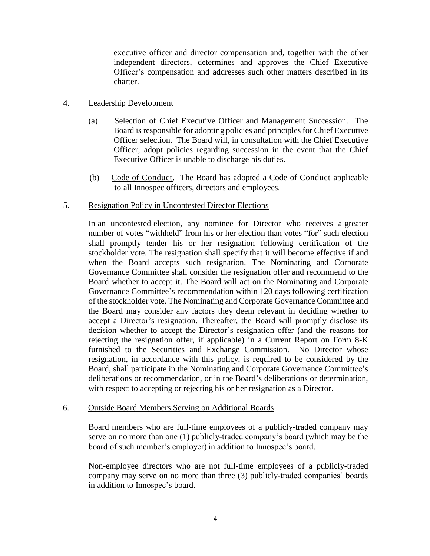executive officer and director compensation and, together with the other independent directors, determines and approves the Chief Executive Officer's compensation and addresses such other matters described in its charter.

## 4. Leadership Development

- (a) Selection of Chief Executive Officer and Management Succession. The Board is responsible for adopting policies and principles for Chief Executive Officer selection. The Board will, in consultation with the Chief Executive Officer, adopt policies regarding succession in the event that the Chief Executive Officer is unable to discharge his duties.
- (b) Code of Conduct. The Board has adopted a Code of Conduct applicable to all Innospec officers, directors and employees.

### 5. Resignation Policy in Uncontested Director Elections

In an uncontested election, any nominee for Director who receives a greater number of votes "withheld" from his or her election than votes "for" such election shall promptly tender his or her resignation following certification of the stockholder vote. The resignation shall specify that it will become effective if and when the Board accepts such resignation. The Nominating and Corporate Governance Committee shall consider the resignation offer and recommend to the Board whether to accept it. The Board will act on the Nominating and Corporate Governance Committee's recommendation within 120 days following certification of the stockholder vote. The Nominating and Corporate Governance Committee and the Board may consider any factors they deem relevant in deciding whether to accept a Director's resignation. Thereafter, the Board will promptly disclose its decision whether to accept the Director's resignation offer (and the reasons for rejecting the resignation offer, if applicable) in a Current Report on Form 8-K furnished to the Securities and Exchange Commission. No Director whose resignation, in accordance with this policy, is required to be considered by the Board, shall participate in the Nominating and Corporate Governance Committee's deliberations or recommendation, or in the Board's deliberations or determination, with respect to accepting or rejecting his or her resignation as a Director.

### 6. Outside Board Members Serving on Additional Boards

Board members who are full-time employees of a publicly-traded company may serve on no more than one (1) publicly-traded company's board (which may be the board of such member's employer) in addition to Innospec's board.

Non-employee directors who are not full-time employees of a publicly-traded company may serve on no more than three (3) publicly-traded companies' boards in addition to Innospec's board.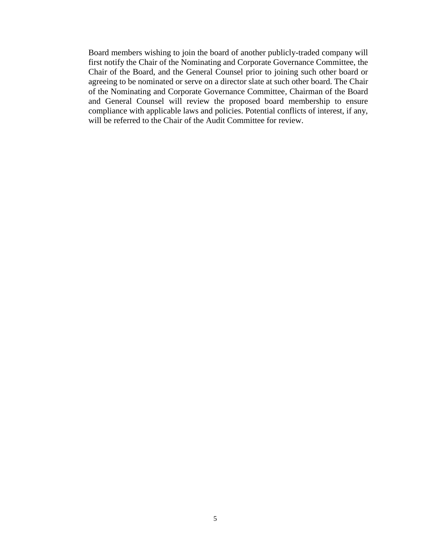Board members wishing to join the board of another publicly-traded company will first notify the Chair of the Nominating and Corporate Governance Committee, the Chair of the Board, and the General Counsel prior to joining such other board or agreeing to be nominated or serve on a director slate at such other board. The Chair of the Nominating and Corporate Governance Committee, Chairman of the Board and General Counsel will review the proposed board membership to ensure compliance with applicable laws and policies. Potential conflicts of interest, if any, will be referred to the Chair of the Audit Committee for review.